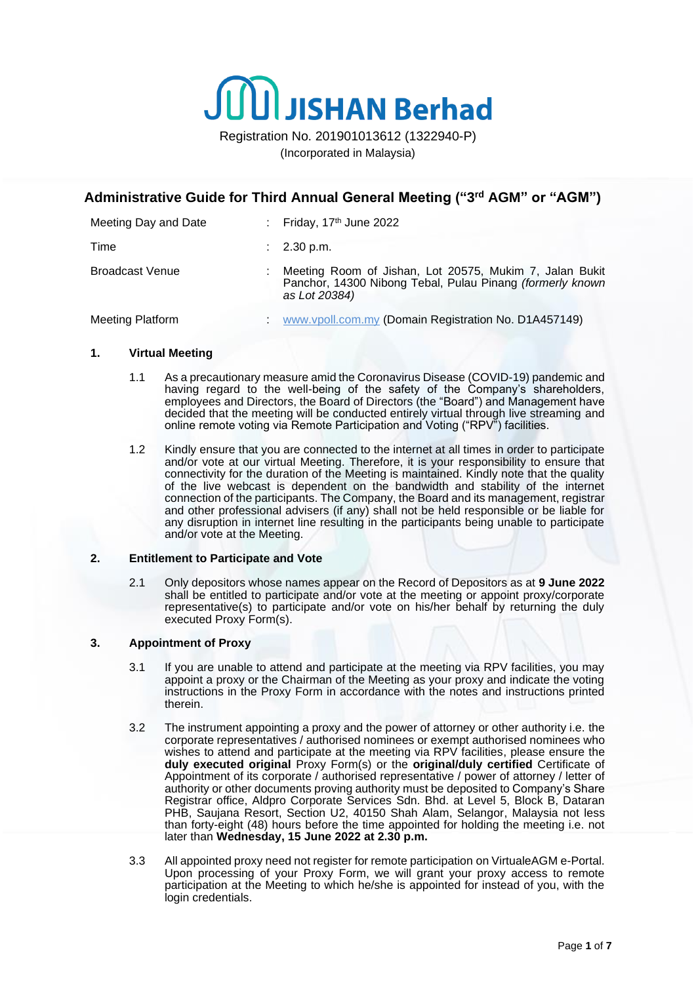

Registration No. 201901013612 (1322940-P) (Incorporated in Malaysia)

# **Administrative Guide for Third Annual General Meeting ("3 rd AGM" or "AGM")**

| Meeting Day and Date   | : Friday, $17th$ June 2022                                                                                                            |
|------------------------|---------------------------------------------------------------------------------------------------------------------------------------|
| Time                   | $\therefore$ 2.30 p.m.                                                                                                                |
| <b>Broadcast Venue</b> | Meeting Room of Jishan, Lot 20575, Mukim 7, Jalan Bukit<br>Panchor, 14300 Nibong Tebal, Pulau Pinang (formerly known<br>as Lot 20384) |
| Meeting Platform       | www.vpoll.com.my (Domain Registration No. D1A457149)                                                                                  |

#### **1. Virtual Meeting**

- 1.1 As a precautionary measure amid the Coronavirus Disease (COVID-19) pandemic and having regard to the well-being of the safety of the Company's shareholders, employees and Directors, the Board of Directors (the "Board") and Management have decided that the meeting will be conducted entirely virtual through live streaming and online remote voting via Remote Participation and Voting ("RPV") facilities.
- 1.2 Kindly ensure that you are connected to the internet at all times in order to participate and/or vote at our virtual Meeting. Therefore, it is your responsibility to ensure that connectivity for the duration of the Meeting is maintained. Kindly note that the quality of the live webcast is dependent on the bandwidth and stability of the internet connection of the participants. The Company, the Board and its management, registrar and other professional advisers (if any) shall not be held responsible or be liable for any disruption in internet line resulting in the participants being unable to participate and/or vote at the Meeting.

## **2. Entitlement to Participate and Vote**

2.1 Only depositors whose names appear on the Record of Depositors as at **9 June 2022** shall be entitled to participate and/or vote at the meeting or appoint proxy/corporate representative(s) to participate and/or vote on his/her behalf by returning the duly executed Proxy Form(s).

# **3. Appointment of Proxy**

- 3.1 If you are unable to attend and participate at the meeting via RPV facilities, you may appoint a proxy or the Chairman of the Meeting as your proxy and indicate the voting instructions in the Proxy Form in accordance with the notes and instructions printed therein.
- 3.2 The instrument appointing a proxy and the power of attorney or other authority i.e. the corporate representatives / authorised nominees or exempt authorised nominees who wishes to attend and participate at the meeting via RPV facilities, please ensure the **duly executed original** Proxy Form(s) or the **original/duly certified** Certificate of Appointment of its corporate / authorised representative / power of attorney / letter of authority or other documents proving authority must be deposited to Company's Share Registrar office, Aldpro Corporate Services Sdn. Bhd. at Level 5, Block B, Dataran PHB, Saujana Resort, Section U2, 40150 Shah Alam, Selangor, Malaysia not less than forty-eight (48) hours before the time appointed for holding the meeting i.e. not later than **Wednesday, 15 June 2022 at 2.30 p.m.**
- 3.3 All appointed proxy need not register for remote participation on VirtualeAGM e-Portal. Upon processing of your Proxy Form, we will grant your proxy access to remote participation at the Meeting to which he/she is appointed for instead of you, with the login credentials.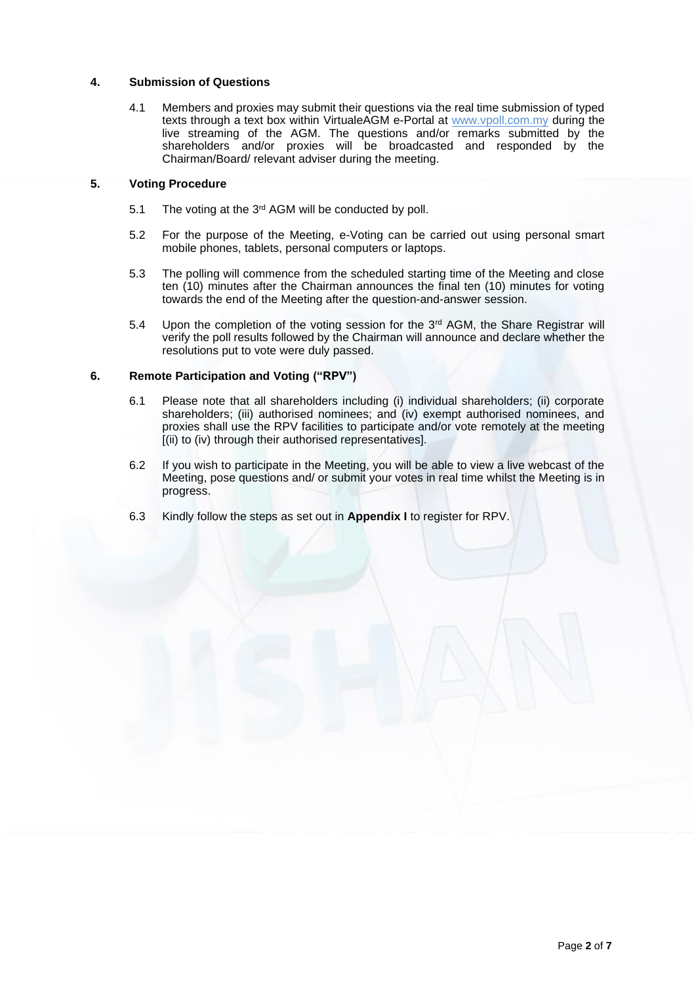## **4. Submission of Questions**

4.1 Members and proxies may submit their questions via the real time submission of typed texts through a text box within VirtualeAGM e-Portal at [www.vpoll.com.my](http://www.vpoll.com.my/) during the live streaming of the AGM. The questions and/or remarks submitted by the shareholders and/or proxies will be broadcasted and responded by the Chairman/Board/ relevant adviser during the meeting.

## **5. Voting Procedure**

- 5.1 The voting at the 3<sup>rd</sup> AGM will be conducted by poll.
- 5.2 For the purpose of the Meeting, e-Voting can be carried out using personal smart mobile phones, tablets, personal computers or laptops.
- 5.3 The polling will commence from the scheduled starting time of the Meeting and close ten (10) minutes after the Chairman announces the final ten (10) minutes for voting towards the end of the Meeting after the question-and-answer session.
- 5.4 Upon the completion of the voting session for the  $3<sup>rd</sup>$  AGM, the Share Registrar will verify the poll results followed by the Chairman will announce and declare whether the resolutions put to vote were duly passed.

# **6. Remote Participation and Voting ("RPV")**

- 6.1 Please note that all shareholders including (i) individual shareholders; (ii) corporate shareholders; (iii) authorised nominees; and (iv) exempt authorised nominees, and proxies shall use the RPV facilities to participate and/or vote remotely at the meeting [(ii) to (iv) through their authorised representatives].
- 6.2 If you wish to participate in the Meeting, you will be able to view a live webcast of the Meeting, pose questions and/ or submit your votes in real time whilst the Meeting is in progress.
- 6.3 Kindly follow the steps as set out in **Appendix I** to register for RPV.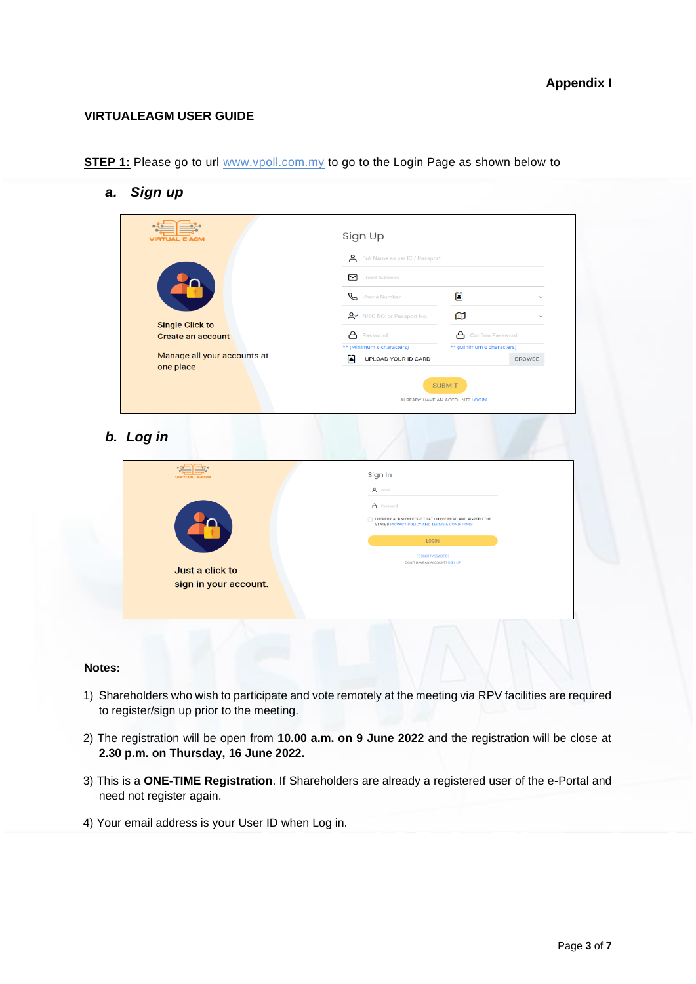# **VIRTUALEAGM USER GUIDE**

| <b>STEP 1:</b> Please go to url www.vpoll.com.my to go to the Login Page as shown below to |  |  |  |
|--------------------------------------------------------------------------------------------|--|--|--|
|--------------------------------------------------------------------------------------------|--|--|--|

*a. Sign up*

| Full Name as per IC / Passport<br>Email Address                                                      |                                                                              |
|------------------------------------------------------------------------------------------------------|------------------------------------------------------------------------------|
|                                                                                                      |                                                                              |
| Phone Number                                                                                         | 囼                                                                            |
| O V NRIC NO. or Passport No.                                                                         | œ                                                                            |
| А<br>Password                                                                                        | А<br>Confirm Password                                                        |
| 圖<br><b>UPLOAD YOUR ID CARD</b>                                                                      | ** (Minimum 6 characters)<br><b>BROWSE</b>                                   |
| Sign In                                                                                              |                                                                              |
| A email                                                                                              |                                                                              |
|                                                                                                      |                                                                              |
| <b>A</b> Password                                                                                    |                                                                              |
| I HEREBY ACKNOWLEDGE THAT I HAVE READ AND AGREED THE<br>STATED PRIVACY POLICY AND TERMS & CONDITIONS |                                                                              |
| LOGIN                                                                                                |                                                                              |
| <b>FORGOT PASSWORD?</b><br>DON'T HAVE AN ACCOUNT? SIGN UP                                            |                                                                              |
|                                                                                                      | ** (Minimum 6 characters)<br><b>SUBMIT</b><br>ALREADY HAVE AN ACCOUNT? LOGIN |

## **Notes:**

- 1) Shareholders who wish to participate and vote remotely at the meeting via RPV facilities are required to register/sign up prior to the meeting.
- 2) The registration will be open from **10.00 a.m. on 9 June 2022** and the registration will be close at **2.30 p.m. on Thursday, 16 June 2022.**
- 3) This is a **ONE-TIME Registration**. If Shareholders are already a registered user of the e-Portal and need not register again.
- 4) Your email address is your User ID when Log in.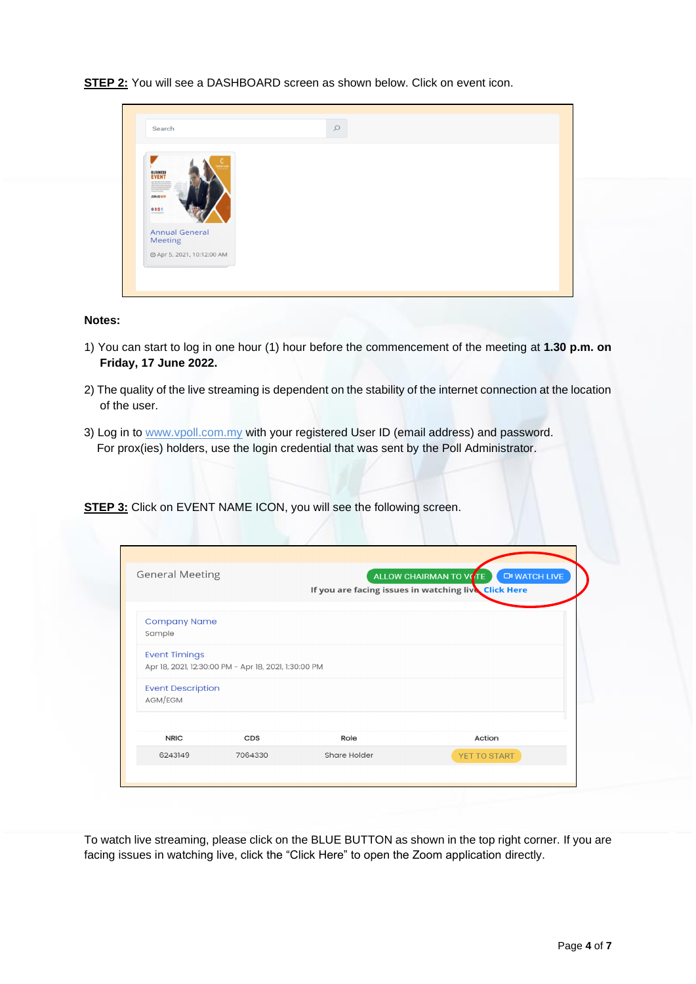**STEP 2:** You will see a DASHBOARD screen as shown below. Click on event icon.

| Search                                                                                                                                                                                                                                                                                                                                                                                                                                                                                                                 | $\circ$ |  |
|------------------------------------------------------------------------------------------------------------------------------------------------------------------------------------------------------------------------------------------------------------------------------------------------------------------------------------------------------------------------------------------------------------------------------------------------------------------------------------------------------------------------|---------|--|
| <b>BUSINESS</b><br>$\begin{array}{l} \mbox{and for all } x \in \mathcal{A} \mbox{ and } \mbox{for all } x \in \mathcal{A} \mbox{ and } \mbox{for } x \in \mathcal{A} \mbox{ and } \mbox{for } x \in \mathcal{A} \mbox{ and } \mbox{for } x \in \mathcal{A} \mbox{ and } \mbox{for } x \in \mathcal{A} \mbox{ and } \mbox{for } x \in \mathcal{A} \mbox{ and } \mbox{for } x \in \mathcal{A} \mbox{ and } \mbox{for } x \in \mathcal{A} \mbox{ and } \mbox{for } x \in \mathcal{A} \mbox{ and }$<br>JOIN US NOW<br>0000 |         |  |
| <b>Annual General</b><br><b>Meeting</b><br>⊙ Apr 5, 2021, 10:12:00 AM                                                                                                                                                                                                                                                                                                                                                                                                                                                  |         |  |
|                                                                                                                                                                                                                                                                                                                                                                                                                                                                                                                        |         |  |

## **Notes:**

- 1) You can start to log in one hour (1) hour before the commencement of the meeting at **1.30 p.m. on Friday, 17 June 2022.**
- 2) The quality of the live streaming is dependent on the stability of the internet connection at the location of the user.
- 3) Log in to [www.vpoll.com.my](http://www.vpoll.com.my/) with your registered User ID (email address) and password. For prox(ies) holders, use the login credential that was sent by the Poll Administrator.

**STEP 3:** Click on EVENT NAME ICON, you will see the following screen.

| <b>General Meeting</b>              |                                                      |              | ALLOW CHAIRMAN TO VOTE<br><b>EN WATCH LIVE</b><br>If you are facing issues in watching live Click Here |
|-------------------------------------|------------------------------------------------------|--------------|--------------------------------------------------------------------------------------------------------|
| <b>Company Name</b><br>Sample       |                                                      |              |                                                                                                        |
| <b>Event Timings</b>                | Apr 18, 2021, 12:30:00 PM - Apr 18, 2021, 1:30:00 PM |              |                                                                                                        |
| <b>Event Description</b><br>AGM/EGM |                                                      |              |                                                                                                        |
| <b>NRIC</b>                         | CDS                                                  | Role         | Action                                                                                                 |
|                                     | 7064330                                              | Share Holder | YET TO START                                                                                           |

To watch live streaming, please click on the BLUE BUTTON as shown in the top right corner. If you are facing issues in watching live, click the "Click Here" to open the Zoom application directly.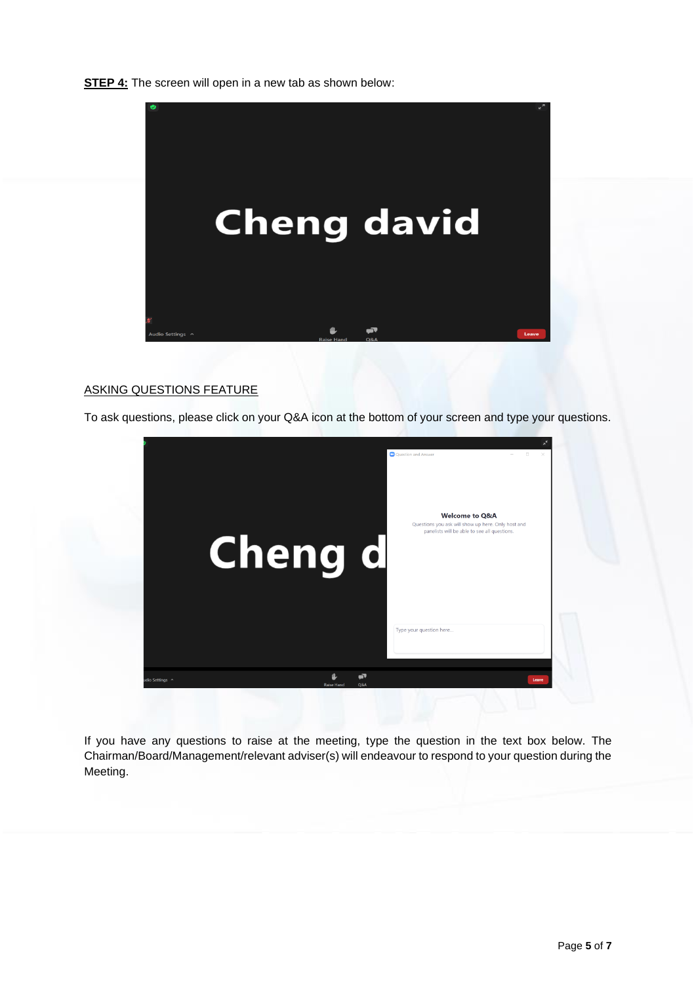**STEP 4:** The screen will open in a new tab as shown below:



# ASKING QUESTIONS FEATURE

To ask questions, please click on your Q&A icon at the bottom of your screen and type your questions.



If you have any questions to raise at the meeting, type the question in the text box below. The Chairman/Board/Management/relevant adviser(s) will endeavour to respond to your question during the Meeting.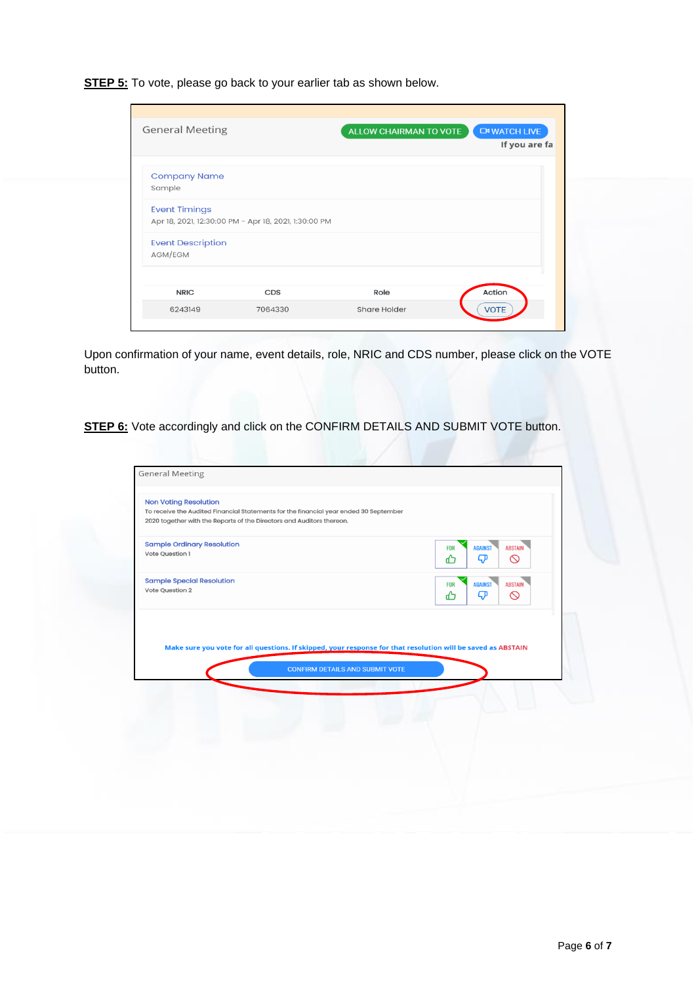**STEP 5:** To vote, please go back to your earlier tab as shown below.

| <b>General Meeting</b>              |                                                      | ALLOW CHAIRMAN TO VOTE | <b>CM WATCH LIVE</b><br>If you are fa |
|-------------------------------------|------------------------------------------------------|------------------------|---------------------------------------|
| <b>Company Name</b><br>Sample       |                                                      |                        |                                       |
| <b>Event Timings</b>                | Apr 18, 2021, 12:30:00 PM - Apr 18, 2021, 1:30:00 PM |                        |                                       |
| <b>Event Description</b><br>AGM/EGM |                                                      |                        |                                       |
| <b>NRIC</b>                         | CDS                                                  | Role                   | Action                                |
| 6243149                             | 7064330                                              | Share Holder           | <b>VOTE</b>                           |

Upon confirmation of your name, event details, role, NRIC and CDS number, please click on the VOTE button.

**STEP 6:** Vote accordingly and click on the CONFIRM DETAILS AND SUBMIT VOTE button.

| <b>Non Voting Resolution</b><br>To receive the Audited Financial Statements for the financial year ended 30 September<br>2020 together with the Reports of the Directors and Auditors thereon. |                                        |                                                                                                              |  |
|------------------------------------------------------------------------------------------------------------------------------------------------------------------------------------------------|----------------------------------------|--------------------------------------------------------------------------------------------------------------|--|
| <b>Sample Ordinary Resolution</b><br>Vote Question 1                                                                                                                                           |                                        | <b>AGAINST</b><br><b>ABSTAIN</b><br><b>FOR</b><br>ᡐ<br>$\circledcirc$<br>൷                                   |  |
| <b>Sample Special Resolution</b><br>Vote Question 2                                                                                                                                            |                                        | AGAINST<br><b>ABSTAIN</b><br><b>FOR</b><br>$\boldsymbol{\nabla}$<br>$\circ$<br>൷                             |  |
|                                                                                                                                                                                                |                                        | Make sure you vote for all questions. If skipped, your response for that resolution will be saved as ABSTAIN |  |
|                                                                                                                                                                                                | <b>CONFIRM DETAILS AND SUBMIT VOTE</b> |                                                                                                              |  |
|                                                                                                                                                                                                |                                        |                                                                                                              |  |
|                                                                                                                                                                                                |                                        |                                                                                                              |  |